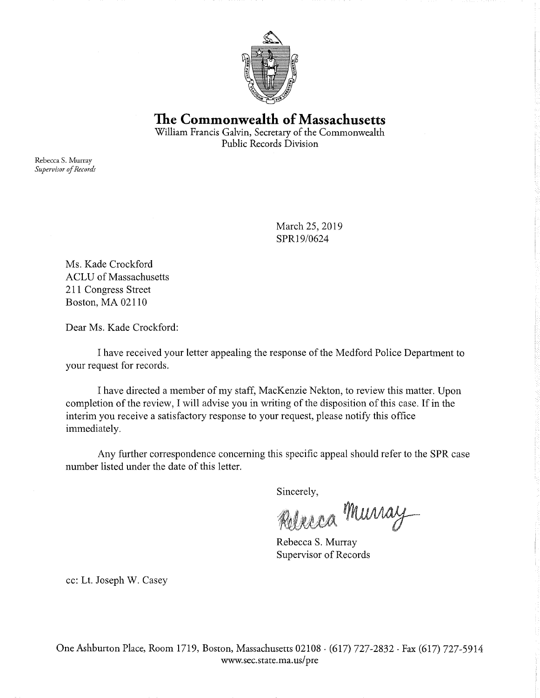

**The Commonwealth of Massachusetts**  William Francis Galvin, Secretary of the Commonwealth

Public Records Division

Rebecca S. Murray *Supervisor of Records* 

> March 25, 2019 SPR19/0624

Ms. Kade Crockford ACLU of Massachusetts 211 Congress Street Boston, MA 02110

Dear Ms. Kade Crockford:

I have received your letter appealing the response of the Medford Police Department to your request for records.

I have directed a member of my staff, MacKenzie Nekton, to review this matter. Upon completion of the review, I will advise you in writing of the disposition of this case. If in the interim you receive a satisfactory response to your request, please notify this office immediately.

Any further correspondence concerning this specific appeal should refer to the **SPR** case number listed under the date of this letter.

Sincerely,

Rolesca Murray

Rebecca S. Murray Supervisor of Records

cc: Lt. Joseph W. Casey

One Ashburton Place, Room 1719, Boston, Massachusetts 02108 · (617) 727-2832. Fax (617) 727-5914 www.sec.state.ma. us/ pre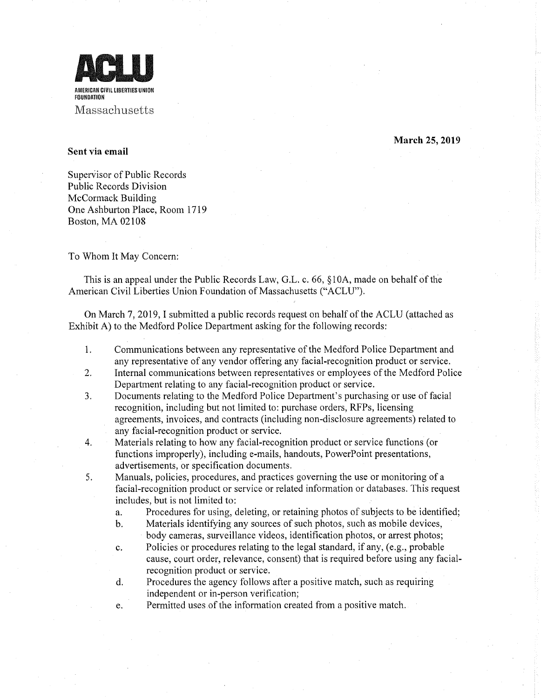

**March 25, 2019** 

## **Sent via email**

Supervisor of Public Records Public Records Division McCormack Building One Ashburton Place, Room 1719 Boston, MA 02108

To Whom It May Concern:

This is an appeal under the Public Records Law, G.L. c. 66, § 1 OA, made on behalf of the American Civil Liberties Union Foundation of Massachusetts ("ACLU").

On March 7, 2019, I submitted a public records request on behalf of the ACLU (attached as Exhibit A) to the Medford Police Department asking for the following records:

- 1. Communications between any representative of the Medford Police Department and any representative of any vendor offering any facial-recognition product or service.
- 2. Internal communications between representatives or employees of the Medford Police Department relating to any facial-recognition product or service.
- 3. Documents relating to the Medford Police Department's purchasing or use of facial recognition, including but not limited to: purchase orders, RFPs, licensing agreements, invoices, and contracts (including non-disclosure agreements) related to any facial-recognition product or service.
- 4. Materials relating to how any facial-recognition product or service functions (or functions improperly), including e-mails, handouts, PowerPoint presentations, advertisements, or specification documents.
- 5. Manuals, policies, procedures, and practices governing the use or monitoring of a facial-recognition product or service or related information or databases. This request includes, but is not limited to:
	- a. Procedures for using, deleting, or retaining photos of subjects to be identified;
	- b. Materials identifying any sources of such photos, such as mobile devices, body cameras, surveillance videos, identification photos, or arrest photos;
	- c. Policies or procedures relating to the legal standard, if any, (e.g., probable cause, court order, relevance, consent) that is required before using any facialrecognition product or service.
	- d. Procedures the agency follows after a positive match, such as requiring independent or in-person verification;
	- e. Permitted uses of the information created from a positive match.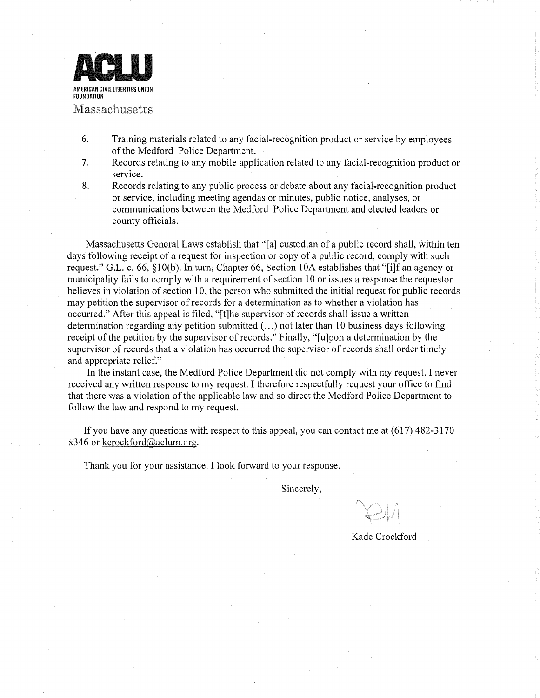

- 6. Training materials related to any facial-recognition product or service by employees of the Medford Police Department.
- 7. Records relating to any mobile application related to any facial-recognition product or service.
- 8. Records relating to any public process or debate about any facial-recognition product or service, including meeting agendas or minutes, public notice, analyses, or communications between the Medford Police Department and elected leaders or county officials.

Massachusetts General Laws establish that "[a] custodian of a public record shall, within ten days following receipt of a request for inspection or copy of a public record, comply with such request." G.L. c. 66,  $\S10(b)$ . In turn, Chapter 66, Section 10A establishes that "[i]f an agency or municipality fails to comply with a requirement of section 10 or issues a response the requestor believes in violation of section 10, the person who submitted the initial request for public records may petition the supervisor of records for a determination as to whether a violation has occurred." After this appeal is filed, "[t]he supervisor ofrecords shall issue a written determination regarding any petition submitted ( ... ) not later than 10 business days following receipt of the petition by the supervisor of records." Finally, "[u]pon a determination by the supervisor of records that a violation has occurred the supervisor of records shall order timely and appropriate relief."

In the instant case, the Medford Police Department did not comply with my request. I never received any written response to my request. I therefore respectfully request your office to find that there was a violation of the applicable law and so direct the Medford Police Department to follow the law and respond to my request.

If you have any questions with respect to this appeal, you can contact me at  $(617)$  482-3170 x346 or kcrockford@aclum.org.

Thank you for your assistance. I look forward to your response.

Sincerely,

Kade Crockford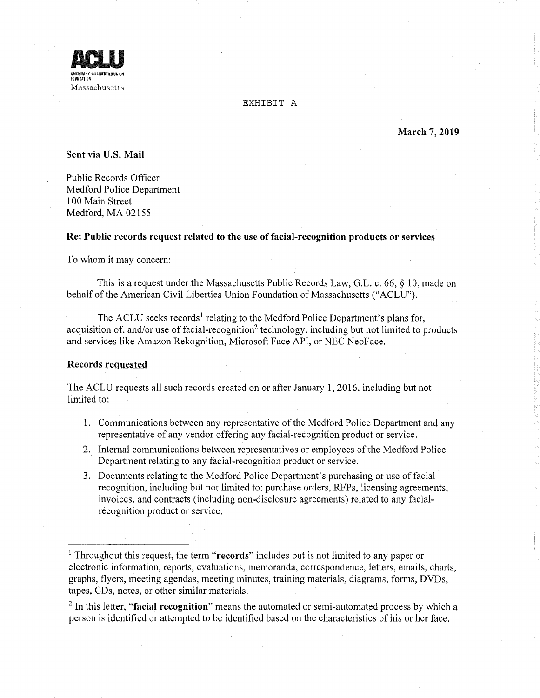

EXHIBIT A

**March 7, 2019** 

**Sent via U.S. Mail** 

Public Records Officer Medford Police Department 100 Main Street Medford, MA 02155

## **Re: Public records request related to the use of facial-recognition products or services**

To whom it may concern:

This is a request under the Massachusetts Public Records Law, G.L. c. 66, § 10, made on behalf of the American Civil Liberties Union Foundation of Massachusetts ("ACLU").

The ACLU seeks records<sup>1</sup> relating to the Medford Police Department's plans for, acquisition of, and/or use of facial-recognition<sup>2</sup> technology, including but not limited to products and services like Amazon Rekognition, Microsoft Face API, or NEC NeoFace.

## **Records requested**

The ACLU requests all such records created on or after January 1, 2016, including but not limited to:

- **1.** Communications between any representative of the Medford Police Department and any representative of any vendor offering any facial-recognition product or service.
- 2. Internal communications between representatives or employees of the Medford Police Department relating to any facial-recognition product or service.
- 3. Documents relating to the Medford Police Department's purchasing or use of facial recognition, including but not limited to: purchase orders, RFPs, licensing agreements, invoices, and contracts (including non-disclosure agreements) related to any facialrecognition product or service.

<sup>2</sup>In this letter, **"facial recognition"** means the automated or semi-automated process by which a person is identified or attempted to be identified based on the characteristics of his or her face.

<sup>1</sup> Throughout this request, the term **"records"** includes but is not limited to any paper or electronic information, reports, evaluations, memoranda, correspondence, letters, emails, charts, graphs, flyers, meeting agendas, meeting minutes, training materials, diagrams, forms, DVDs, tapes, CDs, notes, or other similar materials.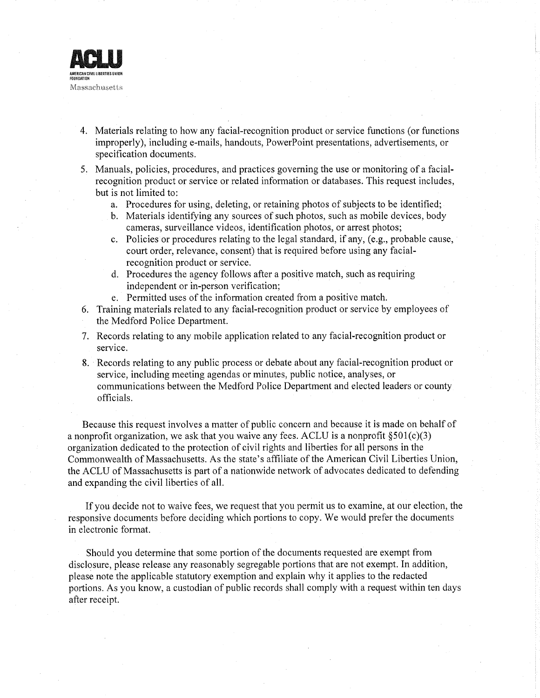

- 4. Materials relating to how any facial-recognition product or service functions (or functions improperly), including e-mails, handouts, PowerPoint presentations, advertisements, or specification documents.
- 5. Manuals, policies, procedures, and practices governing the use or monitoring of a facialrecognition product or service or related information or databases. This request includes, but is not limited to:
	- a. Procedures for using, deleting, or retaining photos of subjects to be identified;
	- b. Materials identifying any sources of such photos, such as mobile devices, body cameras, surveillance videos, identification photos, or arrest photos;
	- c. Policies or procedures relating to the legal standard, if any, (e.g., probable cause, court order, relevance, consent) that is required before using any facialrecognition product or service.
	- d. Procedures the agency follows after a positive match, such as requiring independent or in-person verification;
	- e. Permitted uses of the information created from a positive match.
- 6. Training materials related to any facial-recognition product or service by employees of the Medford Police Department.
- 7. Records relating to any mobile application related to any facial-recognition product or service.
- 8. Records relating to any public process or debate about any facial-recognition product or service, including meeting agendas or minutes, public notice, analyses, or communications between the Medford Police Department and elected leaders or county officials.

Because this request involves a matter of public concern and because it is made on behalf of a nonprofit organization, we ask that you waive any fees. ACLU is a nonprofit  $\S501(c)(3)$ organization dedicated to the protection of civil rights and liberties for all persons in the Commonwealth of Massachusetts. As the state's affiliate of the American Civil Liberties Union, the ACLU of Massachusetts is part of a nationwide network of advocates dedicated to defending and expanding the civil liberties of all.

If you decide not to waive fees, we request that you permit us to examine, at our election, the responsive documents before deciding which portions to copy. We would prefer the documents in electronic format.

Should you determine that some portion of the documents requested are exempt from disclosure, please release any reasonably segregable portions that are not exempt. In addition, please note the applicable statutory exemption and explain why it applies to the redacted portions. As you know, a custodian of public records shall comply with a request within ten days after receipt.